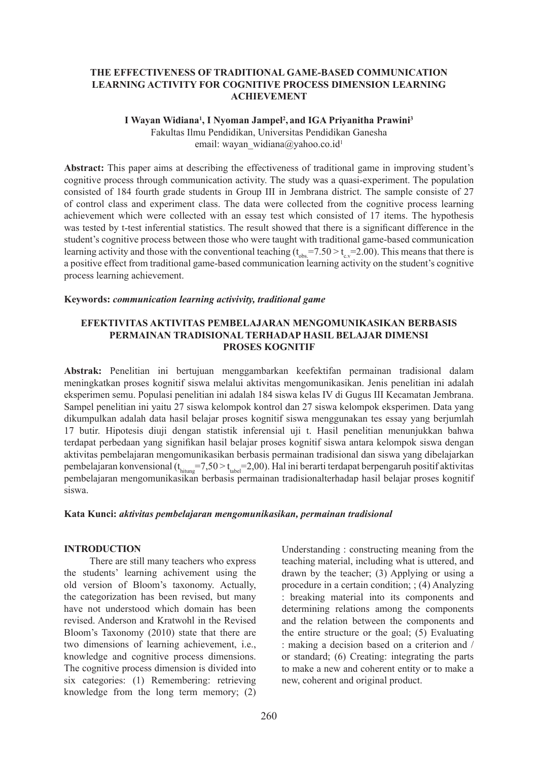## **THE EFFECTIVENESS OF TRADITIONAL GAME-BASED COMMUNICATION LEARNING ACTIVITY FOR COGNITIVE PROCESS DIMENSION LEARNING ACHIEVEMENT**

### I Wayan Widiana<sup>1</sup>, I Nyoman Jampel<sup>2</sup>, and IGA Priyanitha Prawini<sup>3</sup>

Fakultas Ilmu Pendidikan, Universitas Pendidikan Ganesha email: wayan\_widiana@yahoo.co.id<sup>1</sup>

**Abstract:** This paper aims at describing the effectiveness of traditional game in improving student's cognitive process through communication activity. The study was a quasi-experiment. The population consisted of 184 fourth grade students in Group III in Jembrana district. The sample consiste of 27 of control class and experiment class. The data were collected from the cognitive process learning achievement which were collected with an essay test which consisted of 17 items. The hypothesis was tested by t-test inferential statistics. The result showed that there is a significant difference in the student's cognitive process between those who were taught with traditional game-based communication learning activity and those with the conventional teaching  $(t_{obs} = 7.50 > t_{c} = 2.00)$ . This means that there is a positive effect from traditional game-based communication learning activity on the student's cognitive process learning achievement.

#### **Keywords:** *communication learning activivity, traditional game*

## **EFEKTIVITAS AKTIVITAS PEMBELAJARAN MENGOMUNIKASIKAN BERBASIS PERMAINAN TRADISIONAL TERHADAP HASIL BELAJAR DIMENSI PROSES KOGNITIF**

**Abstrak:** Penelitian ini bertujuan menggambarkan keefektifan permainan tradisional dalam meningkatkan proses kognitif siswa melalui aktivitas mengomunikasikan. Jenis penelitian ini adalah eksperimen semu. Populasi penelitian ini adalah 184 siswa kelas IV di Gugus III Kecamatan Jembrana. Sampel penelitian ini yaitu 27 siswa kelompok kontrol dan 27 siswa kelompok eksperimen. Data yang dikumpulkan adalah data hasil belajar proses kognitif siswa menggunakan tes essay yang berjumlah 17 butir. Hipotesis diuji dengan statistik inferensial uji t. Hasil penelitian menunjukkan bahwa terdapat perbedaan yang signifikan hasil belajar proses kognitif siswa antara kelompok siswa dengan aktivitas pembelajaran mengomunikasikan berbasis permainan tradisional dan siswa yang dibelajarkan pembelajaran konvensional  $(t_{\text{hitung}}=7,50 > t_{\text{table}}=2,00)$ . Hal ini berarti terdapat berpengaruh positif aktivitas pembelajaran mengomunikasikan berbasis permainan tradisionalterhadap hasil belajar proses kognitif siswa.

#### **Kata Kunci:** *aktivitas pembelajaran mengomunikasikan, permainan tradisional*

### **INTRODUCTION**

There are still many teachers who express the students' learning achivement using the old version of Bloom's taxonomy. Actually, the categorization has been revised, but many have not understood which domain has been revised. Anderson and Kratwohl in the Revised Bloom's Taxonomy (2010) state that there are two dimensions of learning achievement, i.e., knowledge and cognitive process dimensions. The cognitive process dimension is divided into six categories: (1) Remembering: retrieving knowledge from the long term memory; (2) Understanding : constructing meaning from the teaching material, including what is uttered, and drawn by the teacher; (3) Applying or using a procedure in a certain condition; ; (4) Analyzing : breaking material into its components and determining relations among the components and the relation between the components and the entire structure or the goal; (5) Evaluating : making a decision based on a criterion and / or standard; (6) Creating: integrating the parts to make a new and coherent entity or to make a new, coherent and original product.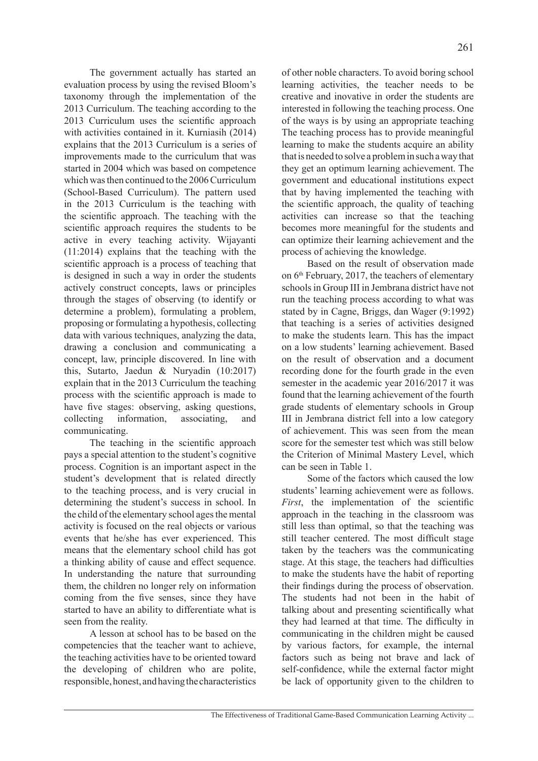The government actually has started an evaluation process by using the revised Bloom's taxonomy through the implementation of the 2013 Curriculum. The teaching according to the 2013 Curriculum uses the scientific approach with activities contained in it. Kurniasih (2014) explains that the 2013 Curriculum is a series of improvements made to the curriculum that was started in 2004 which was based on competence which was then continued to the 2006 Curriculum (School-Based Curriculum). The pattern used in the 2013 Curriculum is the teaching with the scientific approach. The teaching with the scientific approach requires the students to be active in every teaching activity. Wijayanti (11:2014) explains that the teaching with the scientific approach is a process of teaching that is designed in such a way in order the students actively construct concepts, laws or principles through the stages of observing (to identify or determine a problem), formulating a problem, proposing or formulating a hypothesis, collecting data with various techniques, analyzing the data, drawing a conclusion and communicating a concept, law, principle discovered. In line with this, Sutarto, Jaedun & Nuryadin (10:2017) explain that in the 2013 Curriculum the teaching process with the scientific approach is made to have five stages: observing, asking questions, collecting information, associating, and communicating.

The teaching in the scientific approach pays a special attention to the student's cognitive process. Cognition is an important aspect in the student's development that is related directly to the teaching process, and is very crucial in determining the student's success in school. In the child of the elementary school ages the mental activity is focused on the real objects or various events that he/she has ever experienced. This means that the elementary school child has got a thinking ability of cause and effect sequence. In understanding the nature that surrounding them, the children no longer rely on information coming from the five senses, since they have started to have an ability to differentiate what is seen from the reality.

A lesson at school has to be based on the competencies that the teacher want to achieve, the teaching activities have to be oriented toward the developing of children who are polite, responsible, honest, and having the characteristics of other noble characters. To avoid boring school learning activities, the teacher needs to be creative and inovative in order the students are interested in following the teaching process. One of the ways is by using an appropriate teaching The teaching process has to provide meaningful learning to make the students acquire an ability that is needed to solve a problem in such a way that they get an optimum learning achievement. The government and educational institutions expect that by having implemented the teaching with the scientific approach, the quality of teaching activities can increase so that the teaching becomes more meaningful for the students and can optimize their learning achievement and the process of achieving the knowledge.

Based on the result of observation made on 6th February, 2017, the teachers of elementary schools in Group III in Jembrana district have not run the teaching process according to what was stated by in Cagne, Briggs, dan Wager (9:1992) that teaching is a series of activities designed to make the students learn. This has the impact on a low students' learning achievement. Based on the result of observation and a document recording done for the fourth grade in the even semester in the academic year 2016/2017 it was found that the learning achievement of the fourth grade students of elementary schools in Group III in Jembrana district fell into a low category of achievement. This was seen from the mean score for the semester test which was still below the Criterion of Minimal Mastery Level, which can be seen in Table 1.

Some of the factors which caused the low students' learning achievement were as follows. *First*, the implementation of the scientific approach in the teaching in the classroom was still less than optimal, so that the teaching was still teacher centered. The most difficult stage taken by the teachers was the communicating stage. At this stage, the teachers had difficulties to make the students have the habit of reporting their findings during the process of observation. The students had not been in the habit of talking about and presenting scientifically what they had learned at that time. The difficulty in communicating in the children might be caused by various factors, for example, the internal factors such as being not brave and lack of self-confidence, while the external factor might be lack of opportunity given to the children to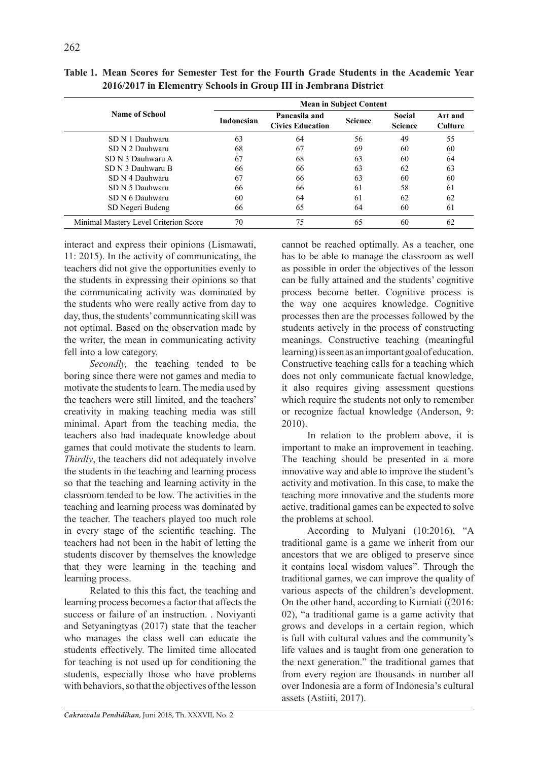|                                       | <b>Mean in Subject Content</b> |                                          |                |                                 |                           |  |
|---------------------------------------|--------------------------------|------------------------------------------|----------------|---------------------------------|---------------------------|--|
| <b>Name of School</b>                 | <b>Indonesian</b>              | Pancasila and<br><b>Civics Education</b> | <b>Science</b> | <b>Social</b><br><b>Science</b> | Art and<br><b>Culture</b> |  |
| SD N 1 Dauhwaru                       | 63                             | 64                                       | 56             | 49                              | 55                        |  |
| SD N 2 Dauhwaru                       | 68                             | 67                                       | 69             | 60                              | 60                        |  |
| SD N 3 Dauhwaru A                     | 67                             | 68                                       | 63             | 60                              | 64                        |  |
| SD N 3 Dauhwaru B                     | 66                             | 66                                       | 63             | 62                              | 63                        |  |
| SD N 4 Dauhwaru                       | 67                             | 66                                       | 63             | 60                              | 60                        |  |
| SD N 5 Dauhwaru                       | 66                             | 66                                       | 61             | 58                              | 61                        |  |
| SD N 6 Dauhwaru                       | 60                             | 64                                       | 61             | 62                              | 62                        |  |
| SD Negeri Budeng                      | 66                             | 65                                       | 64             | 60                              | 61                        |  |
| Minimal Mastery Level Criterion Score | 70                             | 75                                       | 65             | 60                              | 62                        |  |

**Table 1. Mean Scores for Semester Test for the Fourth Grade Students in the Academic Year 2016/2017 in Elementry Schools in Group III in Jembrana District**

interact and express their opinions (Lismawati, 11: 2015). In the activity of communicating, the teachers did not give the opportunities evenly to the students in expressing their opinions so that the communicating activity was dominated by the students who were really active from day to day, thus, the students' communnicating skill was not optimal. Based on the observation made by the writer, the mean in communicating activity fell into a low category.

*Secondly,* the teaching tended to be boring since there were not games and media to motivate the students to learn. The media used by the teachers were still limited, and the teachers' creativity in making teaching media was still minimal. Apart from the teaching media, the teachers also had inadequate knowledge about games that could motivate the students to learn. *Thirdly*, the teachers did not adequately involve the students in the teaching and learning process so that the teaching and learning activity in the classroom tended to be low. The activities in the teaching and learning process was dominated by the teacher. The teachers played too much role in every stage of the scientific teaching. The teachers had not been in the habit of letting the students discover by themselves the knowledge that they were learning in the teaching and learning process.

Related to this this fact, the teaching and learning process becomes a factor that affects the success or failure of an instruction. . Noviyanti and Setyaningtyas (2017) state that the teacher who manages the class well can educate the students effectively. The limited time allocated for teaching is not used up for conditioning the students, especially those who have problems with behaviors, so that the objectives of the lesson cannot be reached optimally. As a teacher, one has to be able to manage the classroom as well as possible in order the objectives of the lesson can be fully attained and the students' cognitive process become better. Cognitive process is the way one acquires knowledge. Cognitive processes then are the processes followed by the students actively in the process of constructing meanings. Constructive teaching (meaningful learning) is seen as an important goal of education. Constructive teaching calls for a teaching which does not only communicate factual knowledge, it also requires giving assessment questions which require the students not only to remember or recognize factual knowledge (Anderson, 9: 2010).

In relation to the problem above, it is important to make an improvement in teaching. The teaching should be presented in a more innovative way and able to improve the student's activity and motivation. In this case, to make the teaching more innovative and the students more active, traditional games can be expected to solve the problems at school.

According to Mulyani (10:2016), "A traditional game is a game we inherit from our ancestors that we are obliged to preserve since it contains local wisdom values". Through the traditional games, we can improve the quality of various aspects of the children's development. On the other hand, according to Kurniati ((2016: 02), "a traditional game is a game activity that grows and develops in a certain region, which is full with cultural values and the community's life values and is taught from one generation to the next generation." the traditional games that from every region are thousands in number all over Indonesia are a form of Indonesia's cultural assets (Astiiti, 2017).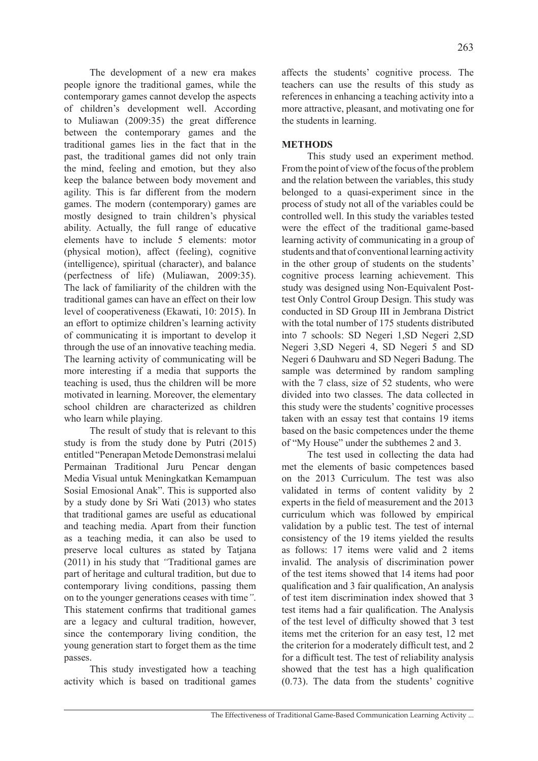The development of a new era makes people ignore the traditional games, while the contemporary games cannot develop the aspects of children's development well. According to Muliawan (2009:35) the great difference between the contemporary games and the traditional games lies in the fact that in the past, the traditional games did not only train the mind, feeling and emotion, but they also keep the balance between body movement and agility. This is far different from the modern games. The modern (contemporary) games are mostly designed to train children's physical ability. Actually, the full range of educative elements have to include 5 elements: motor (physical motion), affect (feeling), cognitive (intelligence), spiritual (character), and balance (perfectness of life) (Muliawan, 2009:35). The lack of familiarity of the children with the traditional games can have an effect on their low level of cooperativeness (Ekawati, 10: 2015). In an effort to optimize children's learning activity of communicating it is important to develop it through the use of an innovative teaching media. The learning activity of communicating will be more interesting if a media that supports the teaching is used, thus the children will be more motivated in learning. Moreover, the elementary school children are characterized as children who learn while playing.

The result of study that is relevant to this study is from the study done by Putri (2015) entitled "Penerapan Metode Demonstrasi melalui Permainan Traditional Juru Pencar dengan Media Visual untuk Meningkatkan Kemampuan Sosial Emosional Anak". This is supported also by a study done by Sri Wati (2013) who states that traditional games are useful as educational and teaching media. Apart from their function as a teaching media, it can also be used to preserve local cultures as stated by Tatiana (2011) in his study that *"*Traditional games are part of heritage and cultural tradition, but due to contemporary living conditions, passing them on to the younger generations ceases with time*"*. This statement confirms that traditional games are a legacy and cultural tradition, however, since the contemporary living condition, the young generation start to forget them as the time passes.

This study investigated how a teaching activity which is based on traditional games affects the students' cognitive process. The teachers can use the results of this study as references in enhancing a teaching activity into a more attractive, pleasant, and motivating one for the students in learning.

## **METHODS**

This study used an experiment method. From the point of view of the focus of the problem and the relation between the variables, this study belonged to a quasi-experiment since in the process of study not all of the variables could be controlled well. In this study the variables tested were the effect of the traditional game-based learning activity of communicating in a group of students and that of conventional learning activity in the other group of students on the students' cognitive process learning achievement. This study was designed using Non-Equivalent Posttest Only Control Group Design. This study was conducted in SD Group III in Jembrana District with the total number of 175 students distributed into 7 schools: SD Negeri 1,SD Negeri 2,SD Negeri 3,SD Negeri 4, SD Negeri 5 and SD Negeri 6 Dauhwaru and SD Negeri Badung. The sample was determined by random sampling with the 7 class, size of 52 students, who were divided into two classes. The data collected in this study were the students' cognitive processes taken with an essay test that contains 19 items based on the basic competences under the theme of "My House" under the subthemes 2 and 3.

The test used in collecting the data had met the elements of basic competences based on the 2013 Curriculum. The test was also validated in terms of content validity by 2 experts in the field of measurement and the 2013 curriculum which was followed by empirical validation by a public test. The test of internal consistency of the 19 items yielded the results as follows: 17 items were valid and 2 items invalid. The analysis of discrimination power of the test items showed that 14 items had poor qualification and 3 fair qualification, An analysis of test item discrimination index showed that 3 test items had a fair qualification. The Analysis of the test level of difficulty showed that 3 test items met the criterion for an easy test, 12 met the criterion for a moderately difficult test, and 2 for a difficult test. The test of reliability analysis showed that the test has a high qualification (0.73). The data from the students' cognitive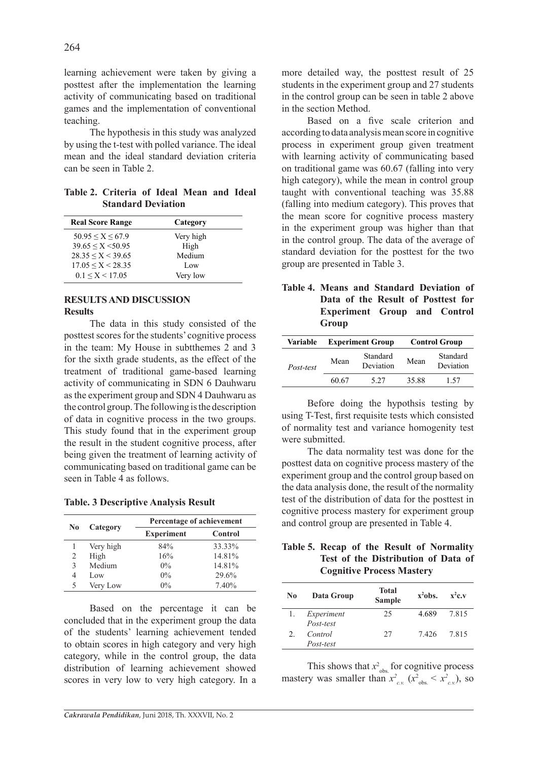learning achievement were taken by giving a posttest after the implementation the learning activity of communicating based on traditional games and the implementation of conventional teaching.

The hypothesis in this study was analyzed by using the t-test with polled variance. The ideal mean and the ideal standard deviation criteria can be seen in Table 2.

**Table 2. Criteria of Ideal Mean and Ideal Standard Deviation** 

| <b>Real Score Range</b>   | Category  |  |
|---------------------------|-----------|--|
| $50.95 \le X \le 67.9$    | Very high |  |
| $39.65 \leq X \leq 50.95$ | High      |  |
| 28.35 < X < 39.65         | Medium    |  |
| $17.05 \le X \le 28.35$   | Low       |  |
| $0.1 \le X \le 17.05$     | Very low  |  |

## **RESULTS AND DISCUSSION Results**

The data in this study consisted of the posttest scores for the students' cognitive process in the team: My House in subtthemes 2 and 3 for the sixth grade students, as the effect of the treatment of traditional game-based learning activity of communicating in SDN 6 Dauhwaru as the experiment group and SDN 4 Dauhwaru as the control group. The following is the description of data in cognitive process in the two groups. This study found that in the experiment group the result in the student cognitive process, after being given the treatment of learning activity of communicating based on traditional game can be seen in Table 4 as follows.

**Table. 3 Descriptive Analysis Result**

| Category<br>No |           | Percentage of achievement |         |  |
|----------------|-----------|---------------------------|---------|--|
|                |           | <b>Experiment</b>         | Control |  |
|                | Very high | 84%                       | 33.33%  |  |
| 2              | High      | 16%                       | 14.81%  |  |
| 3              | Medium    | $0\%$                     | 14.81%  |  |
| 4              | Low       | $0\%$                     | 29.6%   |  |
| 5              | Very Low  | $0\%$                     | 7.40%   |  |

Based on the percentage it can be concluded that in the experiment group the data of the students' learning achievement tended to obtain scores in high category and very high category, while in the control group, the data distribution of learning achievement showed scores in very low to very high category. In a more detailed way, the posttest result of 25 students in the experiment group and 27 students in the control group can be seen in table 2 above in the section Method.

Based on a five scale criterion and according to data analysis mean score in cognitive process in experiment group given treatment with learning activity of communicating based on traditional game was 60.67 (falling into very high category), while the mean in control group taught with conventional teaching was 35.88 (falling into medium category). This proves that the mean score for cognitive process mastery in the experiment group was higher than that in the control group. The data of the average of standard deviation for the posttest for the two group are presented in Table 3.

| Table 4. Means and Standard Deviation of |  |  |
|------------------------------------------|--|--|
| Data of the Result of Posttest for       |  |  |
| <b>Experiment Group and Control</b>      |  |  |
| Group                                    |  |  |

| Variable  | <b>Experiment Group</b> |                       | <b>Control Group</b> |                       |  |
|-----------|-------------------------|-----------------------|----------------------|-----------------------|--|
| Post-test | Mean                    | Standard<br>Deviation | Mean                 | Standard<br>Deviation |  |
|           | 60.67                   | 5 27                  | 35.88                | 157                   |  |

Before doing the hypothsis testing by using T-Test, first requisite tests which consisted of normality test and variance homogenity test were submitted.

The data normality test was done for the posttest data on cognitive process mastery of the experiment group and the control group based on the data analysis done, the result of the normality test of the distribution of data for the posttest in cognitive process mastery for experiment group and control group are presented in Table 4.

| Table 5. Recap of the Result of Normality |
|-------------------------------------------|
| Test of the Distribution of Data of       |
| <b>Cognitive Process Mastery</b>          |

| No | Data Group | <b>Total</b><br><b>Sample</b> | $x^2$ obs. | $x^2c.v$ |
|----|------------|-------------------------------|------------|----------|
|    | Experiment | 25                            | 4 689      | 7.815    |
|    | Post-test  |                               |            |          |
|    | Control    | 27                            | 7426       | 7.815    |
|    | Post-test  |                               |            |          |

This shows that  $x_{obs}^2$  for cognitive process mastery was smaller than  $x^2_{c.v.}$  ( $x^2_{obs} < x^2_{c.v.}$ ), so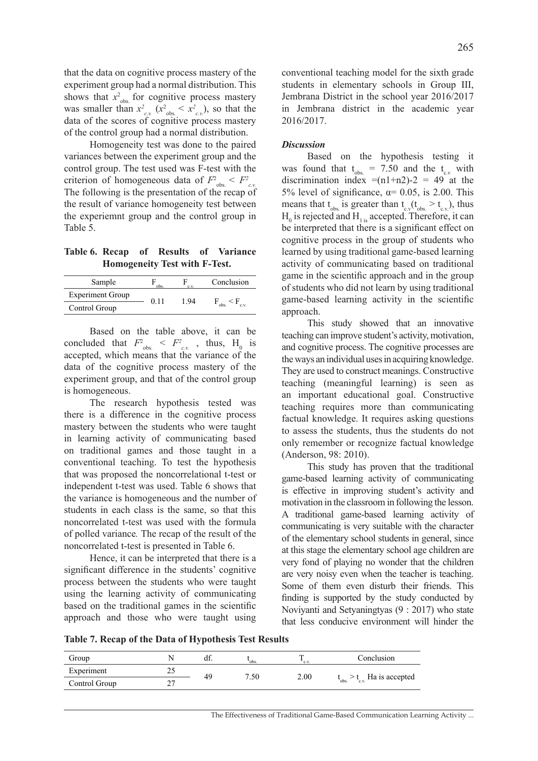that the data on cognitive process mastery of the experiment group had a normal distribution. This shows that  $x_{obs}^2$  for cognitive process mastery was smaller than  $x_{c.v.}^2$  ( $x_{obs.}^2 < x_{c.v.}^2$ ), so that the data of the scores of cognitive process mastery of the control group had a normal distribution.

Homogeneity test was done to the paired variances between the experiment group and the control group. The test used was F-test with the criterion of homogeneous data of  $F^2_{\text{obs}} < F^2_{\text{c.v.}}$ The following is the presentation of the recap of the result of variance homogeneity test between the experiemnt group and the control group in Table 5.

**Table 6. Recap of Results of Variance Homogeneity Test with F-Test.** 

| Sample                  | obs  | e v | Conclusion |
|-------------------------|------|-----|------------|
| <b>Experiment Group</b> | 0.11 | 194 |            |
| Control Group           |      |     | obs<br>c v |

Based on the table above, it can be concluded that  $F^2_{obs.} \leq F^2_{c.v.}$ , thus, H<sub>0</sub> is accepted, which means that the variance of the data of the cognitive process mastery of the experiment group, and that of the control group is homogeneous.

The research hypothesis tested was there is a difference in the cognitive process mastery between the students who were taught in learning activity of communicating based on traditional games and those taught in a conventional teaching. To test the hypothesis that was proposed the noncorrelational t-test or independent t-test was used. Table 6 shows that the variance is homogeneous and the number of students in each class is the same, so that this noncorrelated t-test was used with the formula of polled variance*.* The recap of the result of the noncorrelated t-test is presented in Table 6.

Hence, it can be interpreted that there is a significant difference in the students' cognitive process between the students who were taught using the learning activity of communicating based on the traditional games in the scientific approach and those who were taught using

conventional teaching model for the sixth grade students in elementary schools in Group III, Jembrana District in the school year 2016/2017 in Jembrana district in the academic year 2016/2017.

### *Discussion*

Based on the hypothesis testing it was found that  $t_{obs.} = 7.50$  and the  $t_{c,v}$  with discrimination index  $=(n1+n2)-2 = 49$  at the 5% level of significance,  $\alpha$ = 0.05, is 2.00. This means that  $t_{obs}$  is greater than  $t_{c.v}(t_{obs.} > t_{c.v.})$ , thus  $H_0$  is rejected and  $H_1$  is accepted. Therefore, it can be interpreted that there is a significant effect on cognitive process in the group of students who learned by using traditional game-based learning activity of communicating based on traditional game in the scientific approach and in the group of students who did not learn by using traditional game-based learning activity in the scientific approach.

This study showed that an innovative teaching can improve student's activity, motivation, and cognitive process. The cognitive processes are the ways an individual uses in acquiring knowledge. They are used to construct meanings. Constructive teaching (meaningful learning) is seen as an important educational goal. Constructive teaching requires more than communicating factual knowledge. It requires asking questions to assess the students, thus the students do not only remember or recognize factual knowledge (Anderson, 98: 2010).

This study has proven that the traditional game-based learning activity of communicating is effective in improving student's activity and motivation in the classroom in following the lesson. A traditional game-based learning activity of communicating is very suitable with the character of the elementary school students in general, since at this stage the elementary school age children are very fond of playing no wonder that the children are very noisy even when the teacher is teaching. Some of them even disturb their friends. This finding is supported by the study conducted by Noviyanti and Setyaningtyas (9 : 2017) who state that less conducive environment will hinder the

**Table 7. Recap of the Data of Hypothesis Test Results**

| Group         |     | uı. | obs <sup>-</sup> | c.v  | Conclusion                          |
|---------------|-----|-----|------------------|------|-------------------------------------|
| Experiment    | ن ک | 49  | 7.50             | 2.00 |                                     |
| Control Group | າາ  |     |                  |      | $t_{obs} > t_{c.v.}$ Ha is accepted |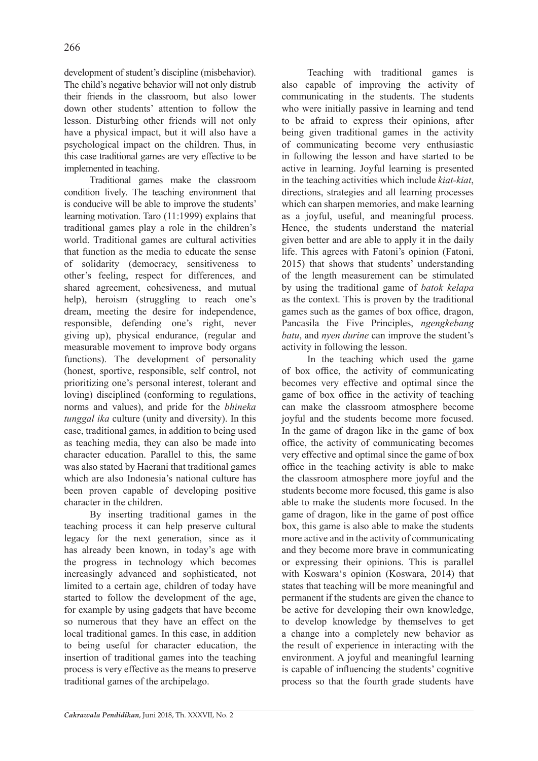development of student's discipline (misbehavior). The child's negative behavior will not only distrub their friends in the classroom, but also lower down other students' attention to follow the lesson. Disturbing other friends will not only have a physical impact, but it will also have a psychological impact on the children. Thus, in this case traditional games are very effective to be implemented in teaching.

Traditional games make the classroom condition lively. The teaching environment that is conducive will be able to improve the students' learning motivation. Taro (11:1999) explains that traditional games play a role in the children's world. Traditional games are cultural activities that function as the media to educate the sense of solidarity (democracy, sensitiveness to other's feeling, respect for differences, and shared agreement, cohesiveness, and mutual help), heroism (struggling to reach one's dream, meeting the desire for independence, responsible, defending one's right, never giving up), physical endurance, (regular and measurable movement to improve body organs functions). The development of personality (honest, sportive, responsible, self control, not prioritizing one's personal interest, tolerant and loving) disciplined (conforming to regulations, norms and values), and pride for the *bhineka tunggal ika* culture (unity and diversity). In this case, traditional games, in addition to being used as teaching media, they can also be made into character education. Parallel to this, the same was also stated by Haerani that traditional games which are also Indonesia's national culture has been proven capable of developing positive character in the children.

By inserting traditional games in the teaching process it can help preserve cultural legacy for the next generation, since as it has already been known, in today's age with the progress in technology which becomes increasingly advanced and sophisticated, not limited to a certain age, children of today have started to follow the development of the age, for example by using gadgets that have become so numerous that they have an effect on the local traditional games. In this case, in addition to being useful for character education, the insertion of traditional games into the teaching process is very effective as the means to preserve traditional games of the archipelago.

also capable of improving the activity of communicating in the students. The students who were initially passive in learning and tend to be afraid to express their opinions, after being given traditional games in the activity of communicating become very enthusiastic in following the lesson and have started to be active in learning. Joyful learning is presented in the teaching activities which include *kiat-kiat*, directions, strategies and all learning processes which can sharpen memories, and make learning as a joyful, useful, and meaningful process. Hence, the students understand the material given better and are able to apply it in the daily life. This agrees with Fatoni's opinion (Fatoni, 2015) that shows that students' understanding of the length measurement can be stimulated by using the traditional game of *batok kelapa* as the context. This is proven by the traditional games such as the games of box office, dragon, Pancasila the Five Principles, *ngengkebang batu*, and *nyen durine* can improve the student's activity in following the lesson.

Teaching with traditional games is

In the teaching which used the game of box office, the activity of communicating becomes very effective and optimal since the game of box office in the activity of teaching can make the classroom atmosphere become joyful and the students become more focused. In the game of dragon like in the game of box office, the activity of communicating becomes very effective and optimal since the game of box office in the teaching activity is able to make the classroom atmosphere more joyful and the students become more focused, this game is also able to make the students more focused. In the game of dragon, like in the game of post office box, this game is also able to make the students more active and in the activity of communicating and they become more brave in communicating or expressing their opinions. This is parallel with Koswara's opinion (Koswara, 2014) that states that teaching will be more meaningful and permanent if the students are given the chance to be active for developing their own knowledge, to develop knowledge by themselves to get a change into a completely new behavior as the result of experience in interacting with the environment. A joyful and meaningful learning is capable of influencing the students' cognitive process so that the fourth grade students have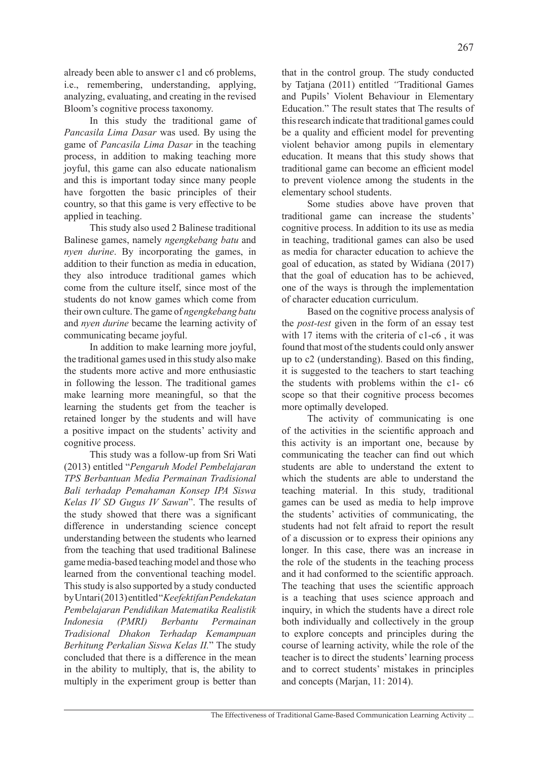already been able to answer c1 and c6 problems, i.e., remembering, understanding, applying, analyzing, evaluating, and creating in the revised Bloom's cognitive process taxonomy.

In this study the traditional game of *Pancasila Lima Dasar* was used. By using the game of *Pancasila Lima Dasar* in the teaching process, in addition to making teaching more joyful, this game can also educate nationalism and this is important today since many people have forgotten the basic principles of their country, so that this game is very effective to be applied in teaching.

This study also used 2 Balinese traditional Balinese games, namely *ngengkebang batu* and *nyen durine*. By incorporating the games, in addition to their function as media in education, they also introduce traditional games which come from the culture itself, since most of the students do not know games which come from their own culture. The game of *ngengkebang batu* and *nyen durine* became the learning activity of communicating became joyful.

In addition to make learning more joyful, the traditional games used in this study also make the students more active and more enthusiastic in following the lesson. The traditional games make learning more meaningful, so that the learning the students get from the teacher is retained longer by the students and will have a positive impact on the students' activity and cognitive process.

This study was a follow-up from Sri Wati (2013) entitled "*Pengaruh Model Pembelajaran TPS Berbantuan Media Permainan Tradisional Bali terhadap Pemahaman Konsep IPA Siswa Kelas IV SD Gugus IV Sawan*". The results of the study showed that there was a significant difference in understanding science concept understanding between the students who learned from the teaching that used traditional Balinese game media-based teaching model and those who learned from the conventional teaching model. This study is also supported by a study conducted by Untari (2013) entitled "*Keefektifan Pendekatan Pembelajaran Pendidikan Matematika Realistik Indonesia (PMRI) Berbantu Permainan Tradisional Dhakon Terhadap Kemampuan Berhitung Perkalian Siswa Kelas II.*" The study concluded that there is a difference in the mean in the ability to multiply, that is, the ability to multiply in the experiment group is better than be a quality and efficient model for preventing violent behavior among pupils in elementary education. It means that this study shows that traditional game can become an efficient model to prevent violence among the students in the elementary school students.

Some studies above have proven that traditional game can increase the students' cognitive process. In addition to its use as media in teaching, traditional games can also be used as media for character education to achieve the goal of education, as stated by Widiana (2017) that the goal of education has to be achieved, one of the ways is through the implementation of character education curriculum.

Based on the cognitive process analysis of the *post-test* given in the form of an essay test with 17 items with the criteria of c1-c6, it was found that most of the students could only answer up to c2 (understanding). Based on this finding, it is suggested to the teachers to start teaching the students with problems within the c1- c6 scope so that their cognitive process becomes more optimally developed.

The activity of communicating is one of the activities in the scientific approach and this activity is an important one, because by communicating the teacher can find out which students are able to understand the extent to which the students are able to understand the teaching material. In this study, traditional games can be used as media to help improve the students' activities of communicating, the students had not felt afraid to report the result of a discussion or to express their opinions any longer. In this case, there was an increase in the role of the students in the teaching process and it had conformed to the scientific approach. The teaching that uses the scientific approach is a teaching that uses science approach and inquiry, in which the students have a direct role both individually and collectively in the group to explore concepts and principles during the course of learning activity, while the role of the teacher is to direct the students' learning process and to correct students' mistakes in principles and concepts (Marjan, 11: 2014).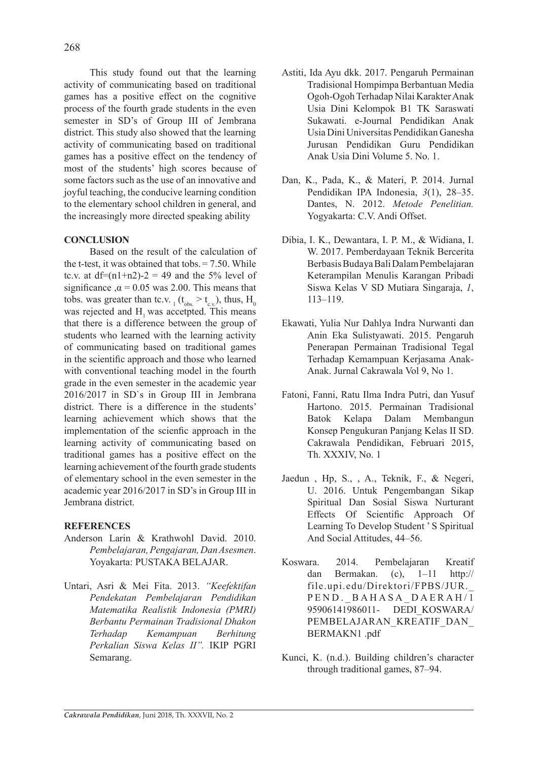This study found out that the learning activity of communicating based on traditional games has a positive effect on the cognitive process of the fourth grade students in the even semester in SD's of Group III of Jembrana district. This study also showed that the learning activity of communicating based on traditional games has a positive effect on the tendency of most of the students' high scores because of some factors such as the use of an innovative and joyful teaching, the conducive learning condition to the elementary school children in general, and the increasingly more directed speaking ability

## **CONCLUSION**

Based on the result of the calculation of the t-test, it was obtained that tobs.  $= 7.50$ . While tc.v. at  $df=(n1+n2)-2 = 49$  and the 5% level of significance  $\alpha$  = 0.05 was 2.00. This means that tobs. was greater than tc.v.  $_1$  ( $t_{obs.} > t_{c.v.}$ ), thus,  $H_0$ was rejected and H<sub>1</sub> was accetpted. This means that there is a difference between the group of students who learned with the learning activity of communicating based on traditional games in the scientific approach and those who learned with conventional teaching model in the fourth grade in the even semester in the academic year 2016/2017 in SD`s in Group III in Jembrana district. There is a difference in the students' learning achievement which shows that the implementation of the scienfic approach in the learning activity of communicating based on traditional games has a positive effect on the learning achievement of the fourth grade students of elementary school in the even semester in the academic year 2016/2017 in SD's in Group III in Jembrana district.

# **REFERENCES**

- Anderson Larin & Krathwohl David. 2010. *Pembelajaran, Pengajaran, Dan Asesmen*. Yoyakarta: PUSTAKA BELAJAR.
- Untari, Asri & Mei Fita. 2013. *"Keefektifan Pendekatan Pembelajaran Pendidikan Matematika Realistik Indonesia (PMRI) Berbantu Permainan Tradisional Dhakon Terhadap Kemampuan Berhitung Perkalian Siswa Kelas II".* IKIP PGRI Semarang.
- Astiti, Ida Ayu dkk. 2017. Pengaruh Permainan Tradisional Hompimpa Berbantuan Media Ogoh-Ogoh Terhadap Nilai Karakter Anak Usia Dini Kelompok B1 TK Saraswati Sukawati. e-Journal Pendidikan Anak Usia Dini Universitas Pendidikan Ganesha Jurusan Pendidikan Guru Pendidikan Anak Usia Dini Volume 5. No. 1.
- Dan, K., Pada, K., & Materi, P. 2014. Jurnal Pendidikan IPA Indonesia, *3*(1), 28–35. Dantes, N. 2012. *Metode Penelitian.*  Yogyakarta: C.V. Andi Offset.
- Dibia, I. K., Dewantara, I. P. M., & Widiana, I. W. 2017. Pemberdayaan Teknik Bercerita Berbasis Budaya Bali Dalam Pembelajaran Keterampilan Menulis Karangan Pribadi Siswa Kelas V SD Mutiara Singaraja, *1*, 113–119.
- Ekawati, Yulia Nur Dahlya Indra Nurwanti dan Anin Eka Sulistyawati. 2015. Pengaruh Penerapan Permainan Tradisional Tegal Terhadap Kemampuan Kerjasama Anak-Anak. Jurnal Cakrawala Vol 9, No 1.
- Fatoni, Fanni, Ratu Ilma Indra Putri, dan Yusuf Hartono. 2015. Permainan Tradisional Batok Kelapa Dalam Membangun Konsep Pengukuran Panjang Kelas II SD. Cakrawala Pendidikan, Februari 2015, Th. XXXIV, No. 1
- Jaedun , Hp, S., , A., Teknik, F., & Negeri, U. 2016. Untuk Pengembangan Sikap Spiritual Dan Sosial Siswa Nurturant Effects Of Scientific Approach Of Learning To Develop Student ' S Spiritual And Social Attitudes, 44–56.
- Koswara. 2014. Pembelajaran Kreatif dan Bermakan. (c), 1–11 http:// file.upi.edu/Direktori/FPBS/JUR.\_ PEND. BAHASA DAERAH/1 95906141986011- DEDI\_KOSWARA/ PEMBELAJARAN\_KREATIF\_DAN\_ BERMAKN1 .pdf
- Kunci, K. (n.d.). Building children's character through traditional games, 87–94.